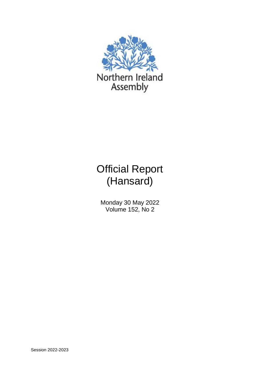

# Official Report (Hansard)

Monday 30 May 2022 Volume 152, No 2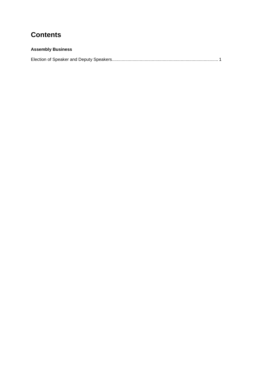# **Contents**

### **Assembly Business**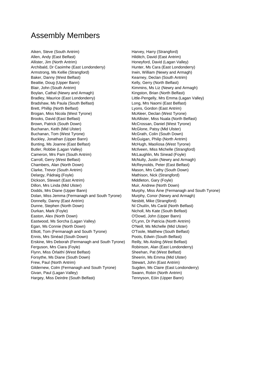## Assembly Members

Aiken, Steve (South Antrim) The Controller of Harvey, Harry (Strangford) Allen, Andy (East Belfast) Allen, Andy (East Antrim) Allister, Jim (North Antrim) and the Muslim Honeyford, David (Lagan Valley) Archibald, Dr Caoimhe (East Londonderry) Hunter, Ms Cara (East Londonderry) Armstrong, Ms Kellie (Strangford) **Irwin, William (Newry and Armagh)** Baker, Danny (West Belfast) The Control of Kearney, Declan (South Antrim) Beattie, Doug (Upper Bann) Kelly, Gerry (North Belfast) Blair, John (South Antrim) The South Structure of Kimmins, Ms Liz (Newry and Armagh) Boylan, Cathal (Newry and Armagh) Kingston, Brian (North Belfast) Bradley, Maurice (East Londonderry) Little-Pengelly, Mrs Emma (Lagan Valley) Bradshaw, Ms Paula (South Belfast) Long, Mrs Naomi (East Belfast) Brett, Phillip (North Belfast) Lyons, Gordon (East Antrim) Brogan, Miss Nicola (West Tyrone) McAleer, Declan (West Tyrone) Brooks, David (East Belfast) McAllister, Miss Nuala (North Belfast) Brown, Patrick (South Down) The McCrossan, Daniel (West Tyrone) Buchanan, Keith (Mid Ulster) **McGlone, Patsy (Mid Ulster)** McGlone, Patsy (Mid Ulster) Buchanan, Tom (West Tyrone) **McGrath, Colin (South Down)** McGrath, Colin (South Down) Buckley, Jonathan (Upper Bann) McGuigan, Philip (North Antrim) Bunting, Ms Joanne (East Belfast) McHugh, Maolíosa (West Tyrone) Butler, Robbie (Lagan Valley) McIlveen, Miss Michelle (Strangford) Cameron, Mrs Pam (South Antrim) McLaughlin, Ms Sinead (Foyle) Carroll, Gerry (West Belfast) **McNulty, Justin (Newry and Armagh)** McNulty, Justin (Newry and Armagh) Chambers, Alan (North Down) McReynolds, Peter (East Belfast) Clarke, Trevor (South Antrim) Mason, Mrs Cathy (South Down) Delargy, Pádraig (Foyle) Mathison, Nick (Strangford) Dickson, Stewart (East Antrim) and Middleton, Gary (Foyle) Dillon, Mrs Linda (Mid Ulster) **Multimers Communist Communist Communist Communist Communist Communist Communist Communist Communist Communist Communist Communist Communist Communist Communist Communist Communist Communist** Dodds, Mrs Diane (Upper Bann) Murphy, Miss Áine (Fermanagh and South Tyrone) Dolan, Miss Jemma (Fermanagh and South Tyrone) Murphy, Conor (Newry and Armagh) Donnelly, Danny (East Antrim) Nesbitt, Mike (Strangford) Dunne, Stephen (North Down) Ní Chuilín, Ms Carál (North Belfast) Durkan, Mark (Foyle) Nicholl, Ms Kate (South Belfast) Easton, Alex (North Down) O'Dowd, John (Upper Bann) Eastwood, Ms Sorcha (Lagan Valley) O'Lynn, Dr Patricia (North Antrim) Egan, Ms Connie (North Down) O'Neill, Ms Michelle (Mid Ulster) Elliott, Tom (Fermanagh and South Tyrone) O'Toole, Matthew (South Belfast) Ennis, Mrs Sinéad (South Down) Poots, Edwin (South Belfast) Erskine, Mrs Deborah (Fermanagh and South Tyrone) Reilly, Ms Aisling (West Belfast) Ferguson, Mrs Ciara (Foyle) **Reading Communist Communist Communist Communist Communist Communist Communist Communist Communist Communist Communist Communist Communist Communist Communist Communist Communist Communist Commu** Flynn, Miss Órlaithí (West Belfast) Sheehan, Pat (West Belfast) Forsythe, Ms Diane (South Down) Sheerin, Ms Emma (Mid Ulster) Frew, Paul (North Antrim) Stewart, John (East Antrim) Gildernew, Colm (Fermanagh and South Tyrone) Sugden, Ms Claire (East Londonderry) Givan, Paul (Lagan Valley) **Swann, Robin (North Antrim)** Swann, Robin (North Antrim) Hargey, Miss Deirdre (South Belfast) Tennyson, Eóin (Upper Bann)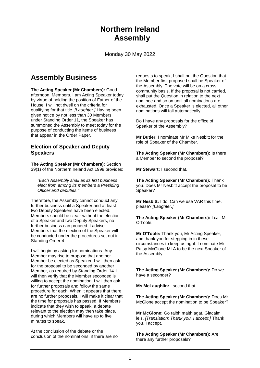# **Northern Ireland Assembly**

Monday 30 May 2022

### **Assembly Business**

**The Acting Speaker (Mr Chambers):** Good afternoon, Members. I am Acting Speaker today by virtue of holding the position of Father of the House. I will not dwell on the criteria for qualifying for that title. *[Laughter.]* Having been given notice by not less than 30 Members under Standing Order 11, the Speaker has summoned the Assembly to meet today for the purpose of conducting the items of business that appear in the Order Paper.

### **Election of Speaker and Deputy Speakers**

**The Acting Speaker (Mr Chambers):** Section 39(1) of the Northern Ireland Act 1998 provides:

*"Each Assembly shall as its first business elect from among its members a Presiding Officer and deputies."*

Therefore, the Assembly cannot conduct any further business until a Speaker and at least two Deputy Speakers have been elected. Members should be clear: without the election of a Speaker and two Deputy Speakers, no further business can proceed. I advise Members that the election of the Speaker will be conducted under the procedures set out in Standing Order 4.

I will begin by asking for nominations. Any Member may rise to propose that another Member be elected as Speaker. I will then ask for the proposal to be seconded by another Member, as required by Standing Order 14. I will then verify that the Member seconded is willing to accept the nomination. I will then ask for further proposals and follow the same procedure for each. When it appears that there are no further proposals, I will make it clear that the time for proposals has passed. If Members indicate that they wish to speak, a debate relevant to the election may then take place, during which Members will have up to five minutes to speak.

At the conclusion of the debate or the conclusion of the nominations, if there are no requests to speak, I shall put the Question that the Member first proposed shall be Speaker of the Assembly. The vote will be on a crosscommunity basis. If the proposal is not carried, I shall put the Question in relation to the next nominee and so on until all nominations are exhausted. Once a Speaker is elected, all other nominations will fall automatically.

Do I have any proposals for the office of Speaker of the Assembly?

**Mr Butler:** I nominate Mr Mike Nesbitt for the role of Speaker of the Chamber.

**The Acting Speaker (Mr Chambers):** Is there a Member to second the proposal?

**Mr Stewart:** I second that.

**The Acting Speaker (Mr Chambers):** Thank you. Does Mr Nesbitt accept the proposal to be Speaker?

**Mr Nesbitt:** I do. Can we use VAR this time, please? *[Laughter.]* 

**The Acting Speaker (Mr Chambers):** I call Mr O'Toole.

**Mr O'Toole:** Thank you, Mr Acting Speaker, and thank you for stepping in in these circumstances to keep us right. I nominate Mr Patsy McGlone MLA to be the next Speaker of the Assembly .

**The Acting Speaker (Mr Chambers):** Do we have a seconder?

**Ms McLaughlin:** I second that.

**The Acting Speaker (Mr Chambers):** Does Mr McGlone accept the nomination to be Speaker?

**Mr McGlone:** Go raibh maith agat. Glacaim leis. *[Translation: Thank you. I accept.]* Thank you. I accept.

**The Acting Speaker (Mr Chambers):** Are there any further proposals?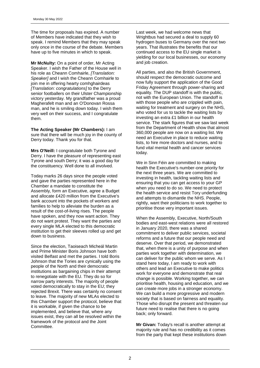The time for proposals has expired. A number of Members have indicated that they wish to speak. I remind Members that they may speak only once in the course of the debate. Members have up to five minutes in which to speak.

**Mr McNulty:** On a point of order, Mr Acting Speaker. I wish the Father of the House well in his role as Cheann Comhairle, *[Translation: Speaker]* and I wish the Cheann Comhairle to join me in offering hearty comhghairdeas *[Translation: congratulations]* to the Derry senior footballers on their Ulster Championship victory yesterday. My grandfather was a proud Magherafelt man and an O'Donovan Rossa man, and he is smiling down today. I wish them very well on their success, and I congratulate them.

**The Acting Speaker (Mr Chambers):** I am sure that there will be much joy in the county of Derry today. Thank you for that.

**Mrs O'Neill:** I congratulate both Tyrone and Derry. I have the pleasure of representing east Tyrone and south Derry; it was a good day for the constituency. Well done to all involved.

Today marks 26 days since the people voted and gave the parties represented here in the Chamber a mandate to constitute the Assembly, form an Executive, agree a Budget and allocate £420 million from the Executive's bank account into the pockets of workers and families to help to alleviate the burden as a result of the cost-of-living rises. The people have spoken, and they now want action. They do not want protest. They want the parties and every single MLA elected to this democratic institution to get their sleeves rolled up and get down to business.

Since the election, Taoiseach Micheál Martin and Prime Minister Boris Johnson have both visited Belfast and met the parties. I told Boris Johnson that the Tories are cynically using the people of the North and their democratic institutions as bargaining chips in their attempt to renegotiate with the EU. They do so for narrow party interests. The majority of people voted democratically to stay in the EU; they rejected Brexit. There was certainly no consent to leave. The majority of new MLAs elected to this Chamber support the protocol, believe that it is workable, if given the chance to be implemented, and believe that, where any issues exist, they can all be resolved within the framework of the protocol and the Joint Committee.

Last week, we had welcome news that Wrightbus had secured a deal to supply 60 hydrogen buses to Germany over the next two years. That illustrates the benefits that our continued access to the EU single market is yielding for our local businesses, our economy and job creation.

All parties, and also the British Government, should respect the democratic outcome and now fully support the application of the Good Friday Agreement through power-sharing and equality. The DUP standoff is with the public, not with the European Union. The standoff is with those people who are crippled with pain, waiting for treatment and surgery on the NHS, who voted for us to tackle the waiting lists by investing an extra £1 billion in our health service. The stark figures that we saw last week from the Department of Health show that almost 360,000 people are now on a waiting list. We need an Executive in place to reduce waiting lists, to hire more doctors and nurses, and to fund vital mental health and cancer services today.

We in Sinn Féin are committed to making health the Executive's number-one priority for the next three years. We are committed to investing in health, tackling waiting lists and ensuring that you can get access to your GP when you need to do so. We need to protect the health service and resist Tory underfunding and attempts to dismantle the NHS. People, rightly, want their politicians to work together to prioritise those very important issues.

When the Assembly, Executive, North/South bodies and east-west relations were all restored in January 2020, there was a shared commitment to deliver public services, societal reforms and a future that our people need and deserve. Over that period, we demonstrated that, when there is a unity of purpose and when parties work together with determination, we can deliver for the public whom we serve. As I stand here today, I am ready to work with others and lead an Executive to make politics work for everyone and demonstrate that real change is possible. Working together, we can prioritise health, housing and education, and we can create more jobs in a stronger economy. We can build a more progressive and modern society that is based on fairness and equality. Those who disrupt the present and threaten our future need to realise that there is no going back; only forward.

**Mr Givan:** Today's recall is another attempt at majority rule and has no credibility as it comes from the party that kept these institutions down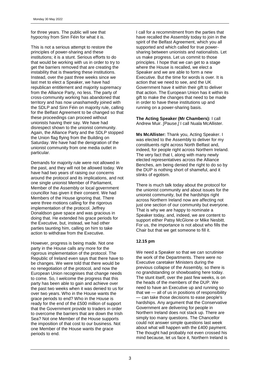for three years. The public will see that hypocrisy from Sinn Féin for what it is.

This is not a serious attempt to restore the principles of power-sharing and these institutions; it is a stunt. Serious efforts to do that would be working with us in order to try to get the barriers removed that are creating the instability that is thwarting these institutions. Instead, over the past three weeks since we last met to elect a Speaker, we have had republican entitlement and majority supremacy from the Alliance Party, no less. The party of cross-community working has abandoned that territory and has now unashamedly joined with the SDLP and Sinn Féin on majority rule, calling for the Belfast Agreement to be changed so that these proceedings can proceed without unionists having their say. We have had disrespect shown to the unionist community. Again, the Alliance Party and the SDLP stopped the Union flag flying from the Building on Saturday. We have had the denigration of the unionist community from one media outlet in particular.

Demands for majority rule were not allowed in the past, and they will not be allowed today. We have had two years of raising our concerns around the protocol and its implications, and not one single unionist Member of Parliament, Member of the Assembly or local government councillor has given it their consent. We had Members of the House ignoring that. There were three motions calling for the rigorous implementation of the protocol. Jeffrey Donaldson gave space and was gracious in doing that. He extended his grace periods for the Executive, but, instead, we had other parties taunting him, calling on him to take action to withdraw from the Executive.

However, progress is being made. Not one party in the House calls any more for the rigorous implementation of the protocol. The Republic of Ireland even says that there have to be changes. We were told that there would be no renegotiation of the protocol, and now the European Union recognises that change needs to come. So, I welcome the progress that this party has been able to gain and achieve over the past two weeks when it was denied to us for over two years. Who in the House wants the grace periods to end? Who in the House is ready for the end of the £500 million of support that the Government provide to traders in order to overcome the barriers that are down the Irish Sea? Not one Member of the House supports the imposition of that cost to our business. Not one Member of the House wants the grace periods to end.

I call for a recommitment from the parties that have recalled the Assembly today to join in the spirit of the Belfast Agreement, which you all supported and which called for true powersharing between unionists and nationalists. Let us make progress. Let us commit to those principles. I hope that we can get to a stage where the House is recalled, we elect a Speaker and we are able to form a new Executive. But the time for words is over. It is action that we need to see, and the UK Government have it within their gift to deliver that action. The European Union has it within its gift to make the changes that need to be made in order to have these institutions up and running on a power-sharing basis.

**The Acting Speaker (Mr Chambers):** I call Andrew Muir. *[Pause.]* I call Nuala McAllister.

**Ms McAllister:** Thank you, Acting Speaker. I was elected to the Assembly to deliver for my constituents right across North Belfast and, indeed, for people right across Northern Ireland. The very fact that I, along with many newly elected representatives across the Alliance Benches, am being denied the right to do so by the DUP is nothing short of shameful, and it stinks of egotism.

There is much talk today about the protocol for the unionist community and about issues for the unionist community, but the hardships right across Northern Ireland now are affecting not just one section of our community but everyone. That is why we are happy to nominate a Speaker today, and, indeed, we are content to support either Patsy McGlone or Mike Nesbitt. For us, the importance is not about who fills the Chair but that we get someone to fill it.

#### **12.15 pm**

We need a Speaker so that we can scrutinise the work of the Departments. There were no Executive caretaker Ministers during the previous collapse of the Assembly, so there is no grandstanding or showboating here today. The stunt itself, over the past few weeks, is on the heads of the members of the DUP. We need to have an Executive up and running so that we — all of us in positions of responsibility — can take those decisions to ease people's hardships. Any argument that the Conservative Government are delivering for people in Northern Ireland does not stack up. There are simply too many questions. The Chancellor could not answer simple questions last week about what will happen with the £400 payment. The thought had probably not even crossed his mind because, let us face it, Northern Ireland is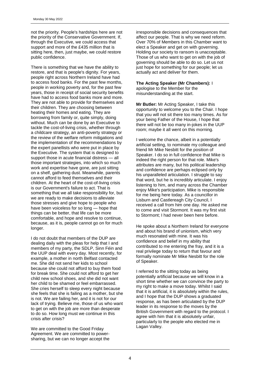not the priority. People's hardships here are not the priority of the Conservative Government. If, through the Executive, we could access that support and more of the £435 million that is sitting here, then, just maybe, we could restore public confidence.

There is something that we have the ability to restore, and that is people's dignity. For years, people right across Northern Ireland have had to access food banks. For the past few months, people in working poverty and, for the past few years, those in receipt of social security benefits have had to access food banks more and more. They are not able to provide for themselves and their children. They are choosing between heating their homes and eating. They are borrowing from family or, quite simply, doing without. Much can be done by an Executive to tackle the cost-of-living crisis, whether through a childcare strategy, an anti-poverty strategy or the review of the welfare reform mitigations and the implementation of the recommendations by the expert panellists who were put in place by the Executive. The system that is designed to support those in acute financial distress — all those important strategies, into which so much work and expertise have gone, are just sitting on a shelf, gathering dust. Meanwhile, parents cannot afford to feed themselves and their children. At the heart of the cost-of-living crisis is our Government's failure to act. That is something that we all take responsibility for, but we are ready to make decisions to alleviate those stresses and give hope to people who have been voiceless for so long — hope that things can be better, that life can be more comfortable, and hope and resolve to continue, because, as it is, people cannot go on for much longer.

I do not doubt that members of the DUP are dealing daily with the pleas for help that I and members of my party, the SDLP, Sinn Féin and the UUP deal with every day. Most recently, for example, a mother in north Belfast contacted me. She did not send her kids to school because she could not afford to buy them food for break time. She could not afford to get her child new school shoes, and she did not want her child to be shamed or feel embarrassed. She cries herself to sleep every night because she feels that she is failing as a mother, but she is not. We are failing her, and it is not for our lack of trying. Believe me, those of us who want to get on with the job are more than desperate to do so. How long must we continue in this crisis after crisis?

We are committed to the Good Friday Agreement. We are committed to powersharing, but we can no longer accept the irresponsible decisions and consequences that affect our people. That is why we need reform. Over 70% of Members in this Chamber want to elect a Speaker and get on with governing. Holding our society to ransom is unacceptable. Those of us who want to get on with the job of governing should be able to do so. Let us not just hope for something for our people; let us actually act and deliver for them.

#### **The Acting Speaker (Mr Chambers):** I apologise to the Member for the

misunderstanding at the start.

**Mr Butler:** Mr Acting Speaker, I take this opportunity to welcome you to the Chair. I hope that you will not sit there too many times. As for your being Father of the House, I hope that there will not be too many in-jokes in the UUP room; maybe it all went on this morning.

I welcome the chance, albeit in a potentially artificial setting, to nominate my colleague and friend Mr Mike Nesbitt for the position of Speaker. I do so in full confidence that Mike is indeed the right person for that role. Mike's attributes are many, but his political leadership and confidence are perhaps eclipsed only by his unparalleled articulation. I struggle to say that word, but he is incredibly articulate. I enjoy listening to him, and many across the Chamber enjoy Mike's participation. Mike is responsible for me being here today. As a councillor in Lisburn and Castlereagh City Council, I received a call from him one day. He asked me to come and visit Stormont. It was my first visit to Stormont; I had never been here before.

He spoke about a Northern Ireland for everyone and about his brand of unionism, which very much resonated with mine. It was his confidence and belief in my ability that contributed to me entering the fray, and it is a real privilege today to return that favour and formally nominate Mr Mike Nesbitt for the role of Speaker.

I referred to the sitting today as being potentially artificial because we will know in a short time whether we can convince the party to my right to make a move today. Whilst I said that it is artificial, it is absolutely within the rules, and I hope that the DUP shows a graduated response, as has been articulated by the DUP leader in its response to the moves by the British Government with regard to the protocol. I agree with him that it is absolutely unfair, particularly to the people who elected me in Lagan Valley.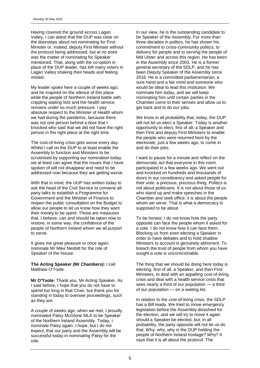Having covered the ground across Lagan Valley, I can attest that the DUP was clear on the doorsteps about not nominating for First Minister or, indeed, deputy First Minister without the protocol being addressed, but at no point was the matter of nominating for Speaker mentioned. That, along with the co-option in place of the DUP leader, has left many voters in Lagan Valley shaking their heads and feeling misled.

My leader spoke here a couple of weeks ago, and he majored on the silence of this place while the people of Northern Ireland battle with crippling waiting lists and the health service remains under so much pressure. I pay absolute respect to the Minister of Health whom we had during the pandemic, because there was not one person behind a door that I knocked who said that we did not have the right person in the right place at the right time.

The cost-of-living crisis gets worse every day. Whilst I call on the DUP to at least enable the Assembly to function and Ministers to be scrutinised by supporting our nomination today, we at least can agree that the issues that I have spoken of will not disappear and need to be addressed now because they are getting worse.

With that in mind, the UUP has written today to ask the head of the Civil Service to convene allparty talks to establish a Programme for Government and the Minister of Finance to reopen the public consultation on the Budget to allow our people to let us know how they want their money to be spent. Those are measures that, I believe, can and should be taken now to restore, in some way, the confidence of the people of Northern Ireland whom we all purport to serve.

It gives me great pleasure to once again nominate Mr Mike Nesbitt for the role of Speaker of the House.

**The Acting Speaker (Mr Chambers):** I call Matthew O'Toole.

**Mr O'Toole:** Thank you, Mr Acting Speaker. As I said before, I hope that you do not have to spend too long in that Chair, but thank you for standing in today to oversee proceedings, such as they are.

A couple of weeks ago, when we met, I proudly nominated Patsy McGlone MLA to be Speaker of the Northern Ireland Assembly. Today, I nominate Patsy again. I hope, but I do not expect, that our party and the Assembly will be successful today in nominating Patsy for the role.

In our view, he is the outstanding candidate to be Speaker of the Assembly. For more than three decades in politics, he has shown his commitment to cross-community politics, to delivery for people and to serving the people of Mid Ulster and across this region. He has been in the Assembly since 2003. He is a former general secretary of the SDLP, and he has been Deputy Speaker of the Assembly since 2016. He is a committed parliamentarian, a sure hand and a fair mind and someone who would be ideal to lead this institution. We nominate him today, and we will keep nominating him until certain parties in the Chamber come to their senses and allow us to get back and to do our jobs.

We know in all probability that, today, the DUP will not let us elect a Speaker. Today is another opportunity to elect, first of all, a Speaker and then First and deputy First Ministers to enable the people who were returned here by the electorate, just a few weeks ago, to come in and do their jobs.

I want to pause for a minute and reflect on the democratic act that everyone in this room participated in a few weeks ago. We went out and knocked on hundreds and thousands of doors in our constituency and asked people for their vote: a precious, precious thing. Politics is not about politicians. It is not about those of us who stand up and make speeches in the Chamber and seek office; it is about the people whom we serve. That is what a democracy is supposed to be about.

To be honest, I do not know how the party opposite can face the people whom it asked for a vote. I do not know how it can face them. Blocking us from even electing a Speaker in order to have debates and to hold shadow Ministers to account is genuinely abhorrent. To breach the trust of people from whom you have sought a vote is unconscionable.

The thing that we should be doing here today is electing, first of all, a Speaker, and then First Ministers, to deal with an appalling cost-of-living crisis and deal with a health service crisis that sees nearly a third of our population — a third of our population — on a waiting list.

In relation to the cost-of-living crisis, the SDLP has a Bill ready. We tried to move emergency legislation before the Assembly dissolved for the election, and we will try to move it again should a Speaker be elected, but, in all probability, the party opposite will not let us do that. Why, why, why is the DUP holding the people of Northern Ireland hostage? Why? It says that it is all about the protocol. The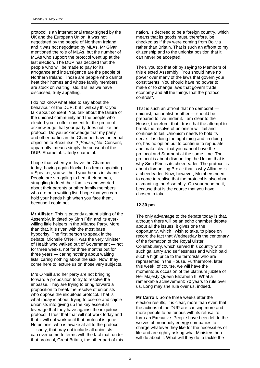protocol is an international treaty signed by the UK and the European Union. It was not negotiated by the people of Northern Ireland and it was not negotiated by MLAs. Mr Givan mentioned the role of MLAs, but the number of MLAs who support the protocol went up at the last election. The DUP has decided that the people who will be made to pay for its arrogance and intransigence are the people of Northern Ireland. Those are people who cannot heat their homes and whose family members are stuck on waiting lists. It is, as we have discussed, truly appalling.

I do not know what else to say about the behaviour of the DUP, but I will say this: you talk about consent. You talk about the failure of the unionist community and the people who elected you to offer consent for the protocol. I acknowledge that your party does not like the protocol. Do you acknowledge that my party and other parties in the Chamber have an equal objection to Brexit itself? *[Pause.]* No. Consent, apparently, means simply the consent of the DUP. Shameful. Utterly shameful.

I hope that, when you leave the Chamber today, having again blocked us from appointing a Speaker, you will hold your heads in shame. People are struggling to heat their homes, struggling to feed their families and worried about their parents or other family members who are on a waiting list. I hope that you can hold your heads high when you face them, because I could not.

**Mr Allister:** This is patently a stunt sitting of the Assembly, initiated by Sinn Féin and its everwilling little helpers in the Alliance Party. More than that, it is riven with the most base hypocrisy. The first person to speak in the debate, Michelle O'Neill, was the very Minister of Health who walked out of Government — not for three weeks, not for three months but for three years — caring nothing about waiting lists, caring nothing about the sick. Now, they come here to lecture us on those very subjects.

Mrs O'Neill and her party are not bringing forward a proposition to try to resolve the impasse. They are trying to bring forward a proposition to break the resolve of unionists who oppose the iniquitous protocol. That is what today is about: trying to coerce and cajole unionists into giving up the key essential leverage that they have against the iniquitous protocol. I trust that that will not work today and that it will not work until that protocol is gone. No unionist who is awake at all to the protocol sadly, that may not include all unionists can ever come to terms with the fact that, under that protocol, Great Britain, the other part of this

nation, is decreed to be a foreign country, which means that its goods must, therefore, be checked as if they were coming from Bolivia rather than Britain. That is such an affront to my citizenship and to the unionist position that it can never be accepted.

Then, you top that off by saying to Members of this elected Assembly, "You should have no power over many of the laws that govern your constituents. You should have no power to make or to change laws that govern trade, economy and all the things that the protocol controls".

That is such an affront that no democrat unionist, nationalist or other — should be prepared to live under it. I am clear to the House, therefore, that I trust that the attempt to break the resolve of unionism will fail and continue to fail. Unionism needs to hold its nerve. It is doing the right thing and, in doing so, has no option but to continue to repudiate and make clear that you cannot have the protocol and Stormont at the same time. The protocol is about dismantling the Union: that is why Sinn Féin is its cheerleader. The protocol is about dismantling Brexit: that is why Alliance is a cheerleader. Now, however, Members need to come to realise that the protocol is also about dismantling the Assembly. On your head be it, because that is the course that you have chosen to take.

#### **12.30 pm**

The only advantage to the debate today is that, although there will be an echo chamber debate about all the issues, it gives one the opportunity, which I wish to take, to place on record the fact that Wednesday is the centenary of the formation of the Royal Ulster Constabulary, which served this country with such gallantry and selflessness and which paid such a high price to the terrorists who are represented in the House. Furthermore, later this week, of course, we will have the momentous occasion of the platinum jubilee of Her Majesty Queen Elizabeth II. What a remarkable achievement: 70 years to rule over us. Long may she rule over us, indeed.

**Mr Carroll:** Some three weeks after the election results, it is clear, more than ever, that the actions of the DUP are causing more and more people to be furious with its refusal to form an Executive. People have been left to the wolves of monopoly energy companies to charge whatever they like for the necessities of life and are rightly asking what Ministers here will do about it. What will they do to tackle the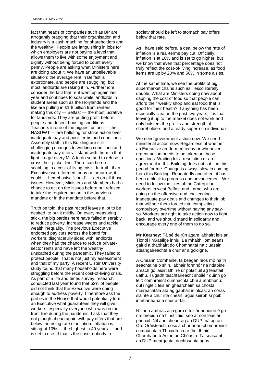fact that heads of companies such as BP are arrogantly bragging that their organisation and industry is a cash machine for shareholders and the wealthy? People are languishing in jobs for which employers are not paying a level that allows them to live with some enjoyment and dignity without being forced to count every penny. People are asking what Ministers here are doing about it. We have an unbelievable situation: the average rent in Belfast is extortionate, and people are struggling, but most landlords are raking it in. Furthermore, consider the fact that rent went up again last year and continues to soar while landlords in student areas such as the Holylands and the like are pulling in £1·8 billion from renters, making this city — Belfast — the most lucrative for landlords. They are putting profit before people and decent housing conditions. Teachers in one of the biggest unions — the NASUWT — are balloting for strike action over inadequate pay and poor terms and conditions. Assembly staff in this Building are still challenging changes to working conditions and inadequate pay offers. I stand with them in that fight. I urge every MLA to do so and to refuse to cross their picket line. There can be no scabbing in a cost-of-living crisis. In truth, if an Executive were formed today or tomorrow, it could — I emphasise "could" — act on all those issues. However, Ministers and Members had a chance to act on the issues before but refused to take the required action in the previous mandate or in the mandate before that.

Truth be told, the past record leaves a lot to be desired, to put it mildly. On every measuring stick, the big parties here have failed miserably to reduce poverty, increase wages and tackle wealth inequality. The previous Executive endorsed pay cuts across the board for workers, disgracefully sided with landlords when they had the chance to reduce privatesector rents and have left the wealthy unscathed during the pandemic. They failed to protect people. That is not just my assessment and that of my party. A recent Ulster University study found that many households here were struggling before the recent cost-of-living crisis. As part of a life and times survey, research conducted last year found that 62% of people did not think that the Executive were doing enough to address poverty. I therefore ask the parties in the House that would potentially form an Executive what guarantees they will give workers, especially everyone who was on the front line during the pandemic. I ask that they not plough ahead again with pay offers that are below the rising rate of inflation. Inflation is sitting at 10% — the highest in 40 years — and is set to rise. If that is the case, nobody in

society should be left to stomach pay offers below that rate.

As I have said before, a deal below the rate of inflation is a real-terms pay cut. Officially, inflation is at 10% and is set to go higher, but we know that even that percentage does not truly reflect the cost-of-living increase, as food items are up by 20% and 50% in some aisles.

At the same time, we see the profits of big supermarket chains such as Tesco literally double. What are Ministers doing now about capping the cost of food so that people can afford their weekly shop and eat food that is good for their health? If anything has been especially clear in the past two years, it is that leaving it up to the market does not work and only bolsters the profits and strength of shareholders and already super-rich individuals.

We need government action now. We need ministerial action now. Regardless of whether an Executive are formed today or whenever, urgent action needs to be taken on those questions. Waiting for a resolution or an agreement in this Building does not cut it in this period for me. Change is always slow in coming from this Building. Repeatedly and often, it has been a block to progress and advancement. We need to follow the likes of the Caterpillar workers in west Belfast and Larne, who are going on the offensive and challenging inadequate pay deals and changes to their job that will see them forced into completing compulsory overtime without having any sayso. Workers are right to take action now to fight back, and we should stand in solidarity and encourage every one of them to do so.

**Mr Kearney:** Tá sé de rún agam labhairt leis an Tionól i nGaeilge inniu. Ba mhaith liom seans gairid a thabhairt do Chomhaltaí na cluasáin ateangaireachta a chur ar a gcloigne.

A Cheann Comhairle, tá beagán níos mó ná trí seachtaine ó shin, labhair formhór na ndaoine amach go láidir. Bhí ré úr polaitiúil ag teastáil uathu. Tugadh teachtaireacht shoiléir dúinn go léir: comhroinnt cumhachta chuí a athbhunú; dul i ngleic leis an ghéarchéim sa chosta maireachtála atá ag gabháil in olcas; an córas sláinte a chur ina cheart; agus seirbhísí poiblí inmharthana a chur ar fáil.

Níl aon amhras ach gurb é toil ár ndaoine é go n-oibreoidh na hinstitiúidí seo ar son leas an phobail. Níl aon cheart ag an DUP, ná ag an Ord Oráisteach, cosc a chur ar an chomhroinnt cumhachta ó Thuaidh ná ar fheidhmiú Chomhaontú Aoine an Chéasta. Tá seasamh an DUP meargánta, dochosanta agus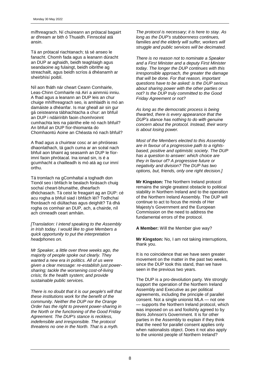mífhreagrach. Ní chuireann an prótacal bagairt ar dhream ar bith ó Thuaidh. Finnscéal atá ansin.

Tá an prótacal riachtanach; tá sé anseo le fanacht. Chomh fada agus a leanann dúracht an DUP ar aghaidh, beidh teaghlaigh agus seandaoine ag fulaingt, beidh oibrithe ag streachailt, agus beidh scríos á dhéanamh ar sheirbhísí poiblí.

Níl aon fháth nár cheart Ceann Comhairle, Leas-Chinn Comhairle ná Airí a ainmniú inniu. A fhad agus a leanann an DUP leis an chur chuige mhífhreagrach seo, is amhlaidh is mó an damáiste a dhéanfar. Is mar gheall air sin gur gá ceisteanna tábhachtacha a chur: an bhfuil an DUP i ndáiríribh faoin chomhroinnt cumhachta leis na páirithe eile nó nach bhfuil? An bhfuil an DUP fíor-thiomanta do Chomhaontú Aoine an Chéasta nó nach bhfuil?

A fhad agus a chuirtear cosc ar an phróiseas dhaonlathach, tá gach cuma ar an scéal nach bhfuil aon bhaint ag seasamh an DUP le fíorimní faoin phrótacal. Ina ionad sin, is é a gcumhacht a chailleadh is mó atá ag cur imní orthu.

Tá tromlach na gComhaltaí a toghadh don Tionól seo i bhfách le bealach forásach chuig sochaí cheart-bhunaithe, dhearfach dhóchasach. Tá ceist le freagairt ag an DUP: cé acu rogha a bhfuil siad i bhfách léi? Todhchaí fhorásach nó diúltachas agus deighilt? Tá dhá rogha os comhair an DUP, ach, a chairde, níl ach cinneadh ceart amháin.

*[Translation: I intend speaking to the Assembly in Irish today. I would like to give Members a quick opportunity to put the interpretation headphones on.*

*Mr Speaker, a little over three weeks ago, the majority of people spoke out clearly. They wanted a new era in politics. All of us were given a clear message: re-establish just powersharing; tackle the worsening cost-of-living crisis; fix the health system; and provide sustainable public services.*

*There is no doubt that it is our people's will that these institutions work for the benefit of the community. Neither the DUP nor the Orange Order has the right to prevent power-sharing in the North or the functioning of the Good Friday Agreement. The DUP's stance is reckless, indefensible and irresponsible. The protocol threatens no one in the North. That is a myth.*

*The protocol is necessary; it is here to stay. As long as the DUP's stubbornness continues, families and the elderly will suffer, workers will struggle and public services will be decimated.*

*There is no reason not to nominate a Speaker and a First Minister and a deputy First Minister today. The longer the DUP continues with this irresponsible approach, the greater the damage that will be done. For that reason, important questions have to be asked: is the DUP serious about sharing power with the other parties or not? Is the DUP truly committed to the Good Friday Agreement or not?*

*As long as the democratic process is being thwarted, there is every appearance that the DUP's stance has nothing to do with genuine concern about the protocol. Instead, their worry is about losing power.*

*Most of the Members elected to this Assembly are in favour of a progressive path to a rightsbased, positive and optimistic society. The DUP has a question to answer: which choice are they in favour of? A progressive future or negativity and division? The DUP has two options, but, friends, only one right decision.]*

**Mr Kingston:** The Northern Ireland protocol remains the single greatest obstacle to political stability in Northern Ireland and to the operation of the Northern Ireland Assembly. The DUP will continue to act to focus the minds of Her Majesty's Government and the European Commission on the need to address the fundamental errors of the protocol.

**A Member:** Will the Member give way?

**Mr Kingston:** No, I am not taking interruptions, thank you.

It is no coincidence that we have seen greater movement on the matter in the past two weeks, since the DUP took this stand, than we have seen in the previous two years.

The DUP is a pro-devolution party. We strongly support the operation of the Northern Ireland Assembly and Executive as per political agreements, including the principle of parallel consent. Not a single unionist MLA — not one — supports the Northern Ireland protocol, which was imposed on us and foolishly agreed to by Boris Johnson's Government. It is for other parties in the Assembly to explain if they think that the need for parallel consent applies only when nationalists object. Does it not also apply to the unionist people of Northern Ireland?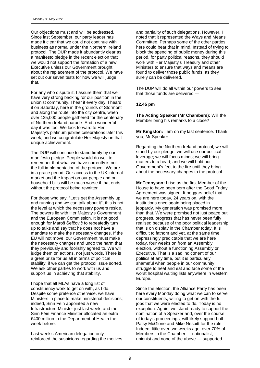Our objections must and will be addressed. Since last September, our party leader has made it clear that we could not continue with business as normal under the Northern Ireland protocol. The DUP made it abundantly clear as a manifesto pledge in the recent election that we would not support the formation of a new Executive unless our Government brought about the replacement of the protocol. We have set out our seven tests for how we will judge that.

For any who dispute it, I assure them that we have very strong backing for our position in the unionist community. I hear it every day. I heard it on Saturday, here in the grounds of Stormont and along the route into the city centre, when over 125,000 people gathered for the centenary of Northern Ireland parade. And a wonderful day it was too. We look forward to Her Majesty's platinum jubilee celebrations later this week, and we congratulate Her Majesty on that unique achievement.

The DUP will continue to stand firmly by our manifesto pledge. People would do well to remember that what we have currently is not the full implementation of the protocol. We are in a grace period. Our access to the UK internal market and the impact on our people and on household bills will be much worse if that ends without the protocol being rewritten.

For those who say, "Let's get the Assembly up and running and we can talk about it", this is not the level at which the necessary powers reside. The powers lie with Her Majesty's Government and the European Commission. It is not good enough for Maroš Šefčovič to repeatedly turn up to talks and say that he does not have a mandate to make the necessary changes. If the EU will not move, our Government must make the necessary changes and undo the harm that they previously and foolishly agreed to. We will judge them on actions, not just words. There is a great prize for us all in terms of political stability, if we can get the protocol issue sorted. We ask other parties to work with us and support us in achieving that stability.

I hope that all MLAs have a long list of constituency work to get on with, as I do. Despite some pretence otherwise, we have Ministers in place to make ministerial decisions; indeed, Sinn Féin appointed a new Infrastructure Minister just last week, and the Sinn Féin Finance Minister allocated an extra £400 million to the Department of Health the week before.

Last week's American delegation only reinforced the suspicions regarding the motives and partiality of such delegations. However, I noted that it represented the Ways and Means Committee. Perhaps some of the other parties here could bear that in mind. Instead of trying to block the spending of public money during this period, for party political reasons, they should work with Her Majesty's Treasury and other Ministers to ensure that ways and means are found to deliver those public funds, as they surely can be delivered.

The DUP will do all within our powers to see that those funds are delivered —

#### **12.45 pm**

**The Acting Speaker (Mr Chambers):** Will the Member bring his remarks to a close?

**Mr Kingston:** I am on my last sentence. Thank you, Mr Speaker.

Regarding the Northern Ireland protocol, we will stand by our pledge; we will use our political leverage; we will focus minds; we will bring matters to a head; and we will hold our Government's feet to the fire until they bring about the necessary changes to the protocol.

**Mr Tennyson:** I rise as the first Member of the House to have been born after the Good Friday Agreement was signed. It beggars belief that we are here today, 24 years on, with the institutions once again being placed in jeopardy. My generation was promised more than that. We were promised not just peace but progress, progress that has never been fully realised because of the poor political leadership that is on display in the Chamber today. It is difficult to fathom and yet, at the same time, depressingly predictable that we are here today, four weeks on from an Assembly election, without a functioning Assembly or Executive. That is a sad indictment of our politics at any time, but it is particularly shameful when people in our community struggle to heat and eat and face some of the worst hospital waiting lists anywhere in western Europe.

Since the election, the Alliance Party has been here every Monday doing what we can to serve our constituents, willing to get on with the full jobs that we were elected to do. Today is no exception. Again, we stand ready to support the nomination of a Speaker and, over the course of today's proceedings, will likely support both Patsy McGlone and Mike Nesbitt for the role. Indeed, little over two weeks ago, over 70% of Members in the Chamber — nationalist, unionist and none of the above — supported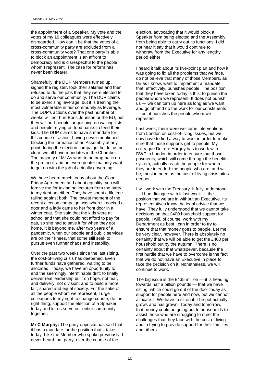the appointment of a Speaker. My vote and the votes of my 16 colleagues were effectively disregarded. How can it be that the votes of a cross-community party are excluded from a cross-community vote? That one party is able to block an appointment is an affront to democracy and is disrespectful to the people whom I represent. The case for reform has never been clearer.

Shamefully, the DUP Members turned up, signed the register, took their salaries and then refused to do the jobs that they were elected to do and serve our community. The DUP claims to be exercising leverage, but it is treating the most vulnerable in our community as leverage. The DUP's actions over the past number of weeks will not hurt Boris Johnson or the EU, but they will hurt people languishing on waiting lists and people relying on food banks to feed their kids. The DUP claims to have a mandate for this course of action, having never mentioned blocking the formation of an Assembly at any point during the election campaign, but let us be clear: we all have mandates in the Chamber. The majority of MLAs want to be pragmatic on the protocol, and an even greater majority want to get on with the job of actually governing.

We have heard much today about the Good Friday Agreement and about equality: you will forgive me for taking no lectures from the party to my right on either. They have spent a lifetime railing against both. The lowest moment of the recent election campaign was when I knocked a door and a lady came to her front door in a winter coat. She said that the kids were at school and that she could not afford to pay for gas, so she had to save it for when they got home. It is beyond me, after two years of a pandemic, when our people and public services are on their knees, that some still seek to pursue even further chaos and instability.

Over the past two weeks since the last sitting, the cost-of-living crisis has deepened. Even further funds have gathered, waiting to be allocated. Today, we have an opportunity to end the seemingly interminable drift; to finally deliver real leadership built on hope, not fear, and delivery, not division; and to build a more fair, shared and equal society. For the sake of all the people whom we represent, I urge colleagues to my right to change course, do the right thing, support the election of a Speaker today and let us serve our entire community together.

**Mr C Murphy:** The party opposite has said that it has a mandate for the position that it takes today. Like the Member who spoke previously, I never heard that party, over the course of the

election, advocating that it would block a Speaker from being elected and the Assembly from being able to carry out its functions. I did not hear it say that it would continue to withdraw from the Executive for any lengthy period either.

I heard it talk about its five-point plan and how it was going to fix all the problems that we face. I do not believe that many of those Members, as far as I know, want to implement a mandate that, effectively, punishes people. The position that they have taken today is this: to punish the people whom we represent. It does not punish us — we can turn up here as long as we want and go off and do the work for our constituents — but it punishes the people whom we represent.

Last week, there were welcome interventions from London on cost-of-living issues, but we now have to find a way to work in order to make sure that those supports get to people. My colleague Deirdre Hargey has to work with DWP in London in order to ensure that those payments, which will come through the benefits system, actually reach the people for whom they are intended: the people who are, and will be, most in need as the cost-of-living crisis bites deeper.

I will work with the Treasury. It fully understood — I had dialogue with it last week — the position that we are in without an Executive. Its representatives know the legal advice that we have. They fully understood that we cannot take decisions on that £400 household support for people. I will, of course, work with my Department as best I can in order to try to ensure that that money goes to people. Let me be very clear, however. There is absolutely no certainty that we will be able to get the £400 per household out by the autumn. There is no certainty about that whatsoever, because the first hurdle that we have to overcome is the fact that we do not have an Executive in place to take the decision on it. Nonetheless, we will continue to work.

The big issue is the £435 million  $-$  it is heading towards half a billion pounds — that we have sitting, which could go out of the door today as support for people here and now, but we cannot allocate it. We have to sit on it. The pot actually grows and has grown. Today and tomorrow, that money could be going out to households to assist those who are struggling to meet the challenges that they face with the cost of living and in trying to provide support for their families and others.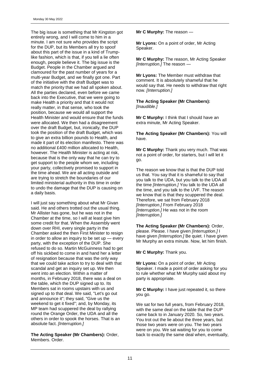The big issue is something that Mr Kingston got entirely wrong, and I will come to him in a minute. I am not sure who provides the script for the DUP, but its Members all try to spoof about this part of the issue in a kind of Trumplike fashion, which is that, if you tell a lie often enough, people believe it. The big issue is the Budget. People in the Chamber argued and clamoured for the past number of years for a multi-year Budget, and we finally got one. Part of the initiative with the draft Budget was to match the priority that we had all spoken about. All the parties declared, even before we came back into the Executive, that we were going to make Health a priority and that it would not really matter, in that sense, who took the position, because we would all support the Health Minister and would ensure that the funds were allocated. We then had a disagreement over the draft Budget, but, ironically, the DUP took the position of the draft Budget, which was to give an extra billion pounds to Health, and made it part of its election manifesto. There was no additional £400 million allocated to Health, however. The Health Minister is acting at risk, because that is the only way that he can try to get support to the people whom we, including your party, collectively promised to support in the time ahead. We are all acting outside and are trying to stretch the boundaries of our limited ministerial authority in this time in order to undo the damage that the DUP is causing on a daily basis.

I will just say something about what Mr Givan said. He and others trotted out the usual thing. Mr Allister has gone, but he was not in the Chamber at the time, so I will at least give him some credit for that. When the Assembly went down over RHI, every single party in the Chamber asked the then First Minister to resign in order to allow an inquiry to be set up — every party, with the exception of the DUP. She refused to do so. Martin McGuinness had to get off his sickbed to come in and hand her a letter of resignation because that was the only way that we could take action to try to deal with that scandal and get an inquiry set up. We then went into an election. Within a matter of months, in February 2018, there was a deal on the table, which the DUP signed up to. Its Members sat in rooms upstairs with us and signed up to that deal. We said, "Let's go out and announce it"; they said, "Give us the weekend to get it fixed"; and, by Monday, its MP team had scuppered the deal by rallying round the Orange Order, the UDA and all the others in order to spook the horses. That is an absolute fact. *[Interruption.]* 

**The Acting Speaker (Mr Chambers):** Order, Members. Order.

**Mr C Murphy:** The reason —

**Mr Lyons:** On a point of order, Mr Acting Speaker.

**Mr C Murphy:** The reason, Mr Acting Speaker *[Interruption.]* The reason —

**Mr Lyons:** The Member must withdraw that comment. It is absolutely shameful that he would say that. He needs to withdraw that right now. *[Interruption.]* 

**The Acting Speaker (Mr Chambers):**  *[Inaudible.]* 

**Mr C Murphy:** I think that I should have an extra minute, Mr Acting Speaker.

**The Acting Speaker (Mr Chambers):** You will have.

**Mr C Murphy:** Thank you very much. That was not a point of order, for starters, but I will let it go.

The reason we know that is that the DUP told us that. You say that it is shameful to say that you talk to the UDA, but you talk to the UDA all the time *[Interruption.]* You talk to the UDA all the time, and you talk to the UVF. The reason we know that is that they scuppered the deal. Therefore, we sat from February 2018 *[Interruption.]* From February 2018 *[Interruption.]* He was not in the room *[Interruption.]* 

**The Acting Speaker (Mr Chambers):** Order, please. Please. I have given *[Interruption.]* I have given *[Interruption.]* Be quiet. I have given Mr Murphy an extra minute. Now, let him finish.

**Mr C Murphy:** Thank you.

**Mr Lyons:** On a point of order, Mr Acting Speaker. I made a point of order asking for you to rule whether what Mr Murphy said about my party is appropriate.

**Mr C Murphy:** I have just repeated it, so there you go.

We sat for two full years, from February 2018, with the same deal on the table that the DUP came back to in January 2020. So, two years. You trot out the lie about the three years, but those two years were on you. The two years were on you. We sat waiting for you to come back to exactly the same deal when, eventually,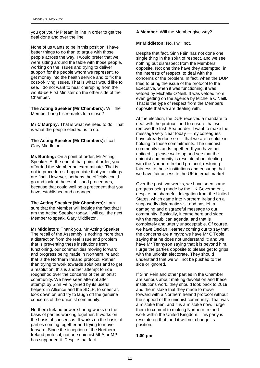you got your MP team in line in order to get the deal done and over the line.

None of us wants to be in this position. I have better things to do than to argue with those people across the way. I would prefer that we were sitting around the table with those people, working on the issues and trying to deliver support for the people whom we represent, to get money into the health service and to fix the cost-of-living issues. That is what I would like to see. I do not want to hear chirruping from the would-be First Minister on the other side of the Chamber.

**The Acting Speaker (Mr Chambers):** Will the Member bring his remarks to a close?

**Mr C Murphy:** That is what we need to do. That is what the people elected us to do.

**The Acting Speaker (Mr Chambers):** I call Gary Middleton.

**Ms Bunting:** On a point of order, Mr Acting Speaker. At the end of that point of order, you afforded the Member an extra minute. That is not in procedures. I appreciate that your rulings are final. However, perhaps the officials could go and look at the established procedures, because that could well be a precedent that you have established and a danger.

**The Acting Speaker (Mr Chambers):** I am sure that the Member will indulge the fact that I am the Acting Speaker today. I will call the next Member to speak, Gary Middleton.

**Mr Middleton:** Thank you, Mr Acting Speaker. The recall of the Assembly is nothing more than a distraction from the real issue and problem that is preventing these institutions from functioning, our communities moving forward and progress being made in Northern Ireland; that is the Northern Ireland protocol. Rather than trying to work towards solutions and to get a resolution, this is another attempt to ride roughshod over the concerns of the unionist community. We have seen attempt after attempt by Sinn Féin, joined by its useful helpers in Alliance and the SDLP, to sneer at, look down on and try to laugh off the genuine concerns of the unionist community.

Northern Ireland power-sharing works on the basis of parties working together. It works on the basis of consensus. It works on the basis of parties coming together and trying to move forward. Since the inception of the Northern Ireland protocol, not one unionist MLA or MP has supported it. Despite that fact —

**A Member:** Will the Member give way?

**Mr Middleton:** No, I will not.

Despite that fact, Sinn Féin has not done one single thing in the spirit of respect, and we see nothing but disrespect from the Members opposite. Not one time have they attempted, in the interests of respect, to deal with the concerns or the problem. In fact, when the DUP tried to bring the issue of the protocol to the Executive, when it was functioning, it was vetoed by Michelle O'Neill. It was vetoed from even getting on the agenda by Michelle O'Neill. That is the type of respect from the Members opposite that we are dealing with.

At the election, the DUP received a mandate to deal with the protocol and to ensure that we remove the Irish Sea border. I want to make the message very clear today — my colleagues have already done so — that we are resolute in holding to those commitments. The unionist community stands together. If you have not noticed it, please wake up and see that the unionist community is resolute about dealing with the Northern Ireland protocol, restoring fairness to these institutions and ensuring that we have fair access to the UK internal market.

Over the past two weeks, we have seen some progress being made by the UK Government, despite the shameful delegation from the United States, which came into Northern Ireland on a supposedly diplomatic visit and has left a damaging and disgraceful message to our community. Basically, it came here and sided with the republican agenda, and that is completely and utterly unacceptable. Of course, we have Declan Kearney coming out to say that the concerns are a myth; we have Mr O'Toole saying that he does not understand it; and we have Mr Tennyson saying that it is beyond him. I urge the parties opposite to please get to grips with the unionist electorate. They should understand that we will not be pushed to the side or ignored.

If Sinn Féin and other parties in the Chamber are serious about making devolution and these institutions work, they should look back to 2019 and the mistake that they made to move forward with a Northern Ireland protocol without the support of the unionist community. That was a mistake then, and it is a mistake now. I urge them to commit to making Northern Ireland work within the United Kingdom. This party is resolute on that, and it will not change its position.

**1.00 pm**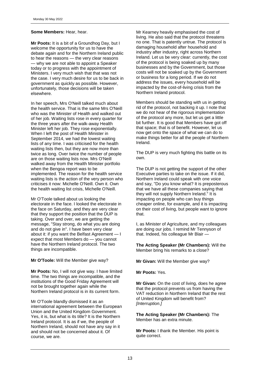#### **Some Members:** Hear, hear.

**Mr Poots:** It is a bit of a Groundhog Day, but I welcome the opportunity for us to have the debate again and for the Northern Ireland public to hear the reasons — the very clear reasons — why we are not able to appoint a Speaker today or to progress with the appointment of Ministers. I very much wish that that was not the case. I very much desire for us to be back in government as quickly as possible. However, unfortunately, those decisions will be taken elsewhere.

In her speech, Mrs O'Neill talked much about the health service. That is the same Mrs O'Neill who was the Minister of Health and walked out of her job. Waiting lists rose in every quarter for the three years after the walk-away Health Minister left her job. They rose exponentially. When I left the post of Health Minister in September 2014, we had the lowest waiting lists of any time. I was criticised for the health waiting lists then, but they are now more than twice as long. Over twice the number of people are on those waiting lists now. Mrs O'Neill walked away from the Health Minister portfolio when the Bengoa report was to be implemented. The reason for the health service waiting lists is the action of the very person who criticises it now: Michelle O'Neill. Own it. Own the health waiting list crisis, Michelle O'Neill.

Mr O'Toole talked about us looking the electorate in the face. I looked the electorate in the face on Saturday, and they are very clear that they support the position that the DUP is taking. Over and over, we are getting the message, "Stay strong, do what you are doing and do not give in". I have been very clear about it: if you want the Belfast Agreement — I expect that most Members do — you cannot have the Northern Ireland protocol. The two things are incompatible.

**Mr O'Toole:** Will the Member give way?

**Mr Poots:** No, I will not give way. I have limited time. The two things are incompatible, and the institutions of the Good Friday Agreement will not be brought together again while the Northern Ireland protocol is in its current form.

Mr O'Toole blandly dismissed it as an international agreement between the European Union and the United Kingdom Government. Yes, it is, but what is its title? It is the Northern Ireland protocol. It is as if we, the people of Northern Ireland, should not have any say in it and should not be concerned about it. Of course, we are.

Mr Kearney heavily emphasised the cost of living. He also said that the protocol threatens no one. That is patently untrue. The protocol is damaging household after household and industry after industry, right across Northern Ireland. Let us be very clear: currently, the cost of the protocol is being soaked up by many businesses and by the Government, but those costs will not be soaked up by the Government or business for a long period. If we do not address the issues, every household will be impacted by the cost-of-living crisis from the Northern Ireland protocol.

Members should be standing with us in getting rid of the protocol, not backing it up. I note that we do not hear of the rigorous implementation of the protocol any more, but let us get a little bit further. It is good that Members have got off that space; that is of benefit. However, let us now get onto the space of what we can do to make things better for all the people of Northern Ireland.

The DUP is very much fighting this battle on its own.

The DUP is not getting the support of the other Executive parties to take on the issue. If it did, Northern Ireland could speak with one voice and say, "Do you know what? It is preposterous that we have all these companies saying that they will not supply Northern Ireland." It is impacting on people who can buy things cheaper online, for example, and it is impacting on their cost of living, but people want to ignore that.

I, as Minister of Agriculture, and my colleagues are doing our jobs. I remind Mr Tennyson of that. Indeed, his colleague Mr Blair —

**The Acting Speaker (Mr Chambers):** Will the Member bring his remarks to a close?

**Mr Givan:** Will the Member give way?

**Mr Poots:** Yes.

**Mr Givan:** On the cost of living, does he agree that the protocol prevents us from having the VAT reduction in Northern Ireland that the rest of United Kingdom will benefit from? *[Interruption.]* 

**The Acting Speaker (Mr Chambers):** The Member has an extra minute.

**Mr Poots:** I thank the Member. His point is quite correct.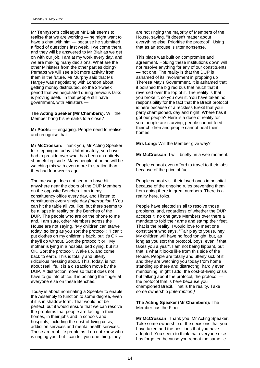Mr Tennyson's colleague Mr Blair seems to realise that we are working — he might want to have a chat with him — because he submitted a flood of questions last week. I welcome them, and they will be answered to Mr Blair as we get on with our job. I am at my work every day, and we are making many decisions. What are the other Ministers from the other parties doing? Perhaps we will see a bit more activity from them in the future. Mr Murphy said that Ms Hargey was negotiating with London about getting money distributed, so the 24-week period that we negotiated during previous talks is proving useful in that people still have government, with Ministers —

**The Acting Speaker (Mr Chambers):** Will the Member bring his remarks to a close?

**Mr Poots:** — engaging. People need to realise and recognise that.

**Mr McCrossan:** Thank you, Mr Acting Speaker, for stepping in today. Unfortunately, you have had to preside over what has been an entirely shameful episode. Many people at home will be watching this with even more frustration than they had four weeks ago.

The message does not seem to have hit anywhere near the doors of the DUP Members on the opposite Benches. I am in my constituency office every day, and I listen to constituents every single day *[Interruption.]* You can hit the table all you like, but there seems to be a lapse in reality on the Benches of the DUP. The people who are on the phone to me and, I am sure, other Members across the House are not saying, "My children can starve today, so long as you sort the protocol"; "I can't put clothes on my children's back, but it's OK they'll do without. Sort the protocol"; or, "My mother is lying in a hospital bed dying, but it's OK. Sort the protocol". Wake up, and come back to earth. This is totally and utterly ridiculous messing about. This, today, is not about real life. It is a distraction move by the DUP. A distraction move so that it does not have to go into office. It is pointing the finger at everyone else on these Benches.

Today is about nominating a Speaker to enable the Assembly to function to some degree, even if it is in shadow form. That would not be perfect, but it would ensure that we can resolve the problems that people are facing in their homes, in their jobs and in schools and hospitals, including the cost-of-living crisis, addiction services and mental health services. Those are real-life problems. I do not know who is ringing you, but I can tell you one thing: they

are not ringing the majority of Members of the House, saying, "It doesn't matter about everything else. Prioritise the protocol". Using that as an excuse is utter nonsense.

This place was built on compromise and agreement. Holding these institutions down will not resolve anything for any of our constituents — not one. The reality is that the DUP is ashamed of its involvement in propping up Theresa May's Government. It is ashamed that it polished the big red bus that much that it reversed over the top of it. The reality is that you broke it, so you own it. You have taken no responsibility for the fact that the Brexit protocol is here because of a reckless Brexit that your party championed, day and night. Where has it got our people? Here is a dose of reality for you: people are starving, people cannot feed their children and people cannot heat their homes.

**Mrs Long:** Will the Member give way?

**Mr McCrossan:** I will, briefly, in a wee moment.

People cannot even afford to travel to their jobs because of the price of fuel.

People cannot visit their loved ones in hospital because of the ongoing rules preventing them from going there in great numbers. There is a reality here, folks.

People have elected us all to resolve those problems, and, regardless of whether the DUP accepts it, no one gave Members over there a mandate to fold their arms and stamp their feet. That is the reality. I would love to meet one constituent who says, "Fair play to youse, hey. My children will have no food tonight, but, as long as you sort the protocol, boys, even if that takes you a year". I am not being flippant, but that is what it looks like from this side of the House. People are totally and utterly sick of it, and they are watching you today from home standing up there and distracting, hardly even mentioning, might I add, the cost-of-living crisis but talking about the protocol, the protocol the protocol that is here because you championed Brexit. That is the reality. Take some ownership *[Interruption.]* 

**The Acting Speaker (Mr Chambers):** The Member has the Floor.

**Mr McCrossan:** Thank you, Mr Acting Speaker. Take some ownership of the decisions that you have taken and the positions that you have adopted. You seem to think that everyone else has forgotten because you repeat the same lie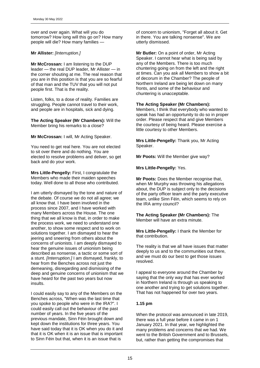over and over again. What will you do tomorrow? How long will this go on? How many people will die? How many families —

#### **Mr Allister:** *[Interruption.]*

**Mr McCrossan:** I am listening to the DUP leader — the real DUP leader, Mr Allister — in the corner shouting at me. The real reason that you are in this position is that you are so fearful of that man and the TUV that you will not put people first. That is the reality.

Listen, folks, to a dose of reality. Families are struggling. People cannot travel to their work, and people are in hospitals, sick and dying.

**The Acting Speaker (Mr Chambers):** Will the Member bring his remarks to a close?

**Mr McCrossan:** I will, Mr Acting Speaker.

You need to get real here. You are not elected to sit over there and do nothing. You are elected to resolve problems and deliver, so get back and do your work.

**Mrs Little-Pengelly:** First, I congratulate the Members who made their maiden speeches today. Well done to all those who contributed.

I am utterly dismayed by the tone and nature of the debate. Of course we do not all agree; we all know that. I have been involved in the process since 2007, and I have worked with many Members across the House. The one thing that we all know is that, in order to make the process work, we need to understand one another, to show some respect and to work on solutions together. I am dismayed to hear the jeering and sneering from others about the concerns of unionists. I am deeply dismayed to hear the genuine issues of unionism being described as nonsense, a tactic or some sort of a stunt. *[Interruption.]* I am dismayed, frankly, to hear from the Benches across not just the demeaning, disregarding and dismissing of the deep and genuine concerns of unionism that we have heard for the past two years but now insults.

I could easily say to any of the Members on the Benches across, "When was the last time that you spoke to people who were in the IRA?". I could easily call out the behaviour of the past number of years. In the five years of the previous mandate, Sinn Féin brought down and kept down the institutions for three years. You have said today that it is OK when you do it and that it is OK when it is an issue that is important to Sinn Féin but that, when it is an issue that is

of concern to unionism, "Forget all about it. Get in there. You are talking nonsense". We are utterly dismissed.

**Mr Butler:** On a point of order, Mr Acting Speaker. I cannot hear what is being said by any of the Members. There is too much chuntering going on from the left and the right at times. Can you ask all Members to show a bit of decorum in the Chamber? The people of Northern Ireland are being let down on many fronts, and some of the behaviour and chuntering is unacceptable.

#### **The Acting Speaker (Mr Chambers):**

Members, I think that everybody who wanted to speak has had an opportunity to do so in proper order. Please respect that and give Members the courtesy of being heard. Please exercise a little courtesy to other Members.

**Mrs Little-Pengelly:** Thank you, Mr Acting Speaker.

**Mr Poots:** Will the Member give way?

**Mrs Little-Pengelly:** Yes.

**Mr Poots:** Does the Member recognise that, when Mr Murphy was throwing his allegations about, the DUP is subject only to the decisions of the party officer team and the party executive team, unlike Sinn Féin, which seems to rely on the IRA army council?

**The Acting Speaker (Mr Chambers):** The Member will have an extra minute.

**Mrs Little-Pengelly:** I thank the Member for that contribution.

The reality is that we all have issues that matter deeply to us and to the communities out there, and we must do our best to get those issues resolved.

I appeal to everyone around the Chamber by saying that the only way that has ever worked in Northern Ireland is through us speaking to one another and trying to get solutions together. That has not happened for over two years.

#### **1.15 pm**

When the protocol was announced in late 2019, there was a full year before it came in on 1 January 2021. In that year, we highlighted the many problems and concerns that we had. We went to the British Government and to Brussels, but, rather than getting the compromises that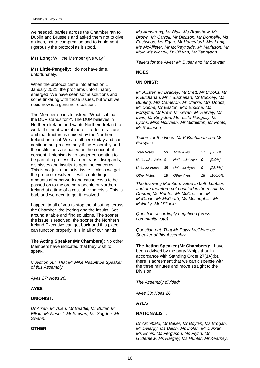we needed, parties across the Chamber ran to Dublin and Brussels and asked them not to give an inch, not to compromise and to implement rigorously the protocol as it stood.

**Mrs Long:** Will the Member give way?

**Mrs Little-Pengelly:** I do not have time, unfortunately.

When the protocol came into effect on 1 January 2021, the problems unfortunately emerged. We have seen some solutions and some tinkering with those issues, but what we need now is a genuine resolution.

The Member opposite asked, "What is it that the DUP stands for?". The DUP believes in Northern Ireland and wants Northern Ireland to work. It cannot work if there is a deep fracture, and that fracture is caused by the Northern Ireland protocol. We are all here today and can continue our process only if the Assembly and the institutions are based on the concept of consent. Unionism is no longer consenting to be part of a process that demeans, disregards, dismisses and insults its genuine concerns. This is not just a unionist issue. Unless we get the protocol resolved, it will create huge amounts of paperwork and cause costs to be passed on to the ordinary people of Northern Ireland at a time of a cost-of-living crisis. This is bad, and we need to get it resolved.

I appeal to all of you to stop the shouting across the Chamber, the jeering and the insults. Get around a table and find solutions. The sooner the issue is resolved, the sooner the Northern Ireland Executive can get back and this place can function properly. It is in all of our hands.

**The Acting Speaker (Mr Chambers):** No other Members have indicated that they wish to speak.

*Question put, That Mr Mike Nesbitt be Speaker of this Assembly.*

*Ayes 27; Noes 26.*

#### **AYES**

#### **UNIONIST:**

*Dr Aiken, Mr Allen, Mr Beattie, Mr Butler, Mr Elliott, Mr Nesbitt, Mr Stewart, Ms Sugden, Mr Swann.*

#### **OTHER:**

*Ms Armstrong, Mr Blair, Ms Bradshaw, Mr Brown, Mr Carroll, Mr Dickson, Mr Donnelly, Ms Eastwood, Ms Egan, Mr Honeyford, Mrs Long, Ms McAllister, Mr McReynolds, Mr Mathison, Mr Muir, Ms Nicholl, Dr O'Lynn, Mr Tennyson.*

*Tellers for the Ayes: Mr Butler and Mr Stewart.*

#### **NOES**

#### **UNIONIST:**

*Mr Allister, Mr Bradley, Mr Brett, Mr Brooks, Mr K Buchanan, Mr T Buchanan, Mr Buckley, Ms Bunting, Mrs Cameron, Mr Clarke, Mrs Dodds, Mr Dunne, Mr Easton, Mrs Erskine, Ms Forsythe, Mr Frew, Mr Givan, Mr Harvey, Mr Irwin, Mr Kingston, Mrs Little-Pengelly, Mr Lyons, Miss McIlveen, Mr Middleton, Mr Poots, Mr Robinson.*

*Tellers for the Noes: Mr K Buchanan and Ms Forsythe.*

| Total Votes         | 53 | Total Ayes                        | 27 | [50.9%]    |
|---------------------|----|-----------------------------------|----|------------|
| Nationalist Votes 0 |    | Nationalist Ayes 0                |    | 10.0%1     |
|                     |    | Unionist Votes 35 Unionist Ayes 9 |    | $[25.7\%]$ |
| Other Votes         | 18 | Other Ayes                        | 18 | [100.0%]   |

*The following Members voted in both Lobbies and are therefore not counted in the result: Mr Durkan, Ms Hunter, Mr McCrossan, Mr McGlone, Mr McGrath, Ms McLaughlin, Mr McNulty, Mr O'Toole.*

*Question accordingly negatived (crosscommunity vote).*

*Question put, That Mr Patsy McGlone be Speaker of this Assembly.*

**The Acting Speaker (Mr Chambers):** I have been advised by the party Whips that, in accordance with Standing Order 27(1A)(b), there is agreement that we can dispense with the three minutes and move straight to the **Division** 

*The Assembly divided:*

*Ayes 53; Noes 26.*

#### **AYES**

#### **NATIONALIST:**

*Dr Archibald, Mr Baker, Mr Boylan, Ms Brogan, Mr Delargy, Ms Dillon, Ms Dolan, Mr Durkan, Ms Ennis, Ms Ferguson, Ms Flynn, Mr Gildernew, Ms Hargey, Ms Hunter, Mr Kearney,*